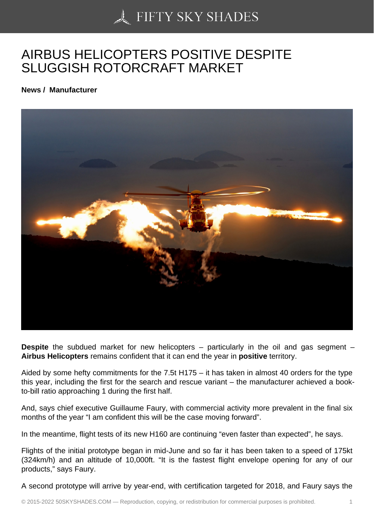## [AIRBUS HELICOPTER](https://50skyshades.com)S POSITIVE DESPITE SLUGGISH ROTORCRAFT MARKET

News / Manufacturer

Despite the subdued market for new helicopters – particularly in the oil and gas segment – Airbus Helicopters remains confident that it can end the year in positive territory.

Aided by some hefty commitments for the 7.5t H175 – it has taken in almost 40 orders for the type this year, including the first for the search and rescue variant – the manufacturer achieved a bookto-bill ratio approaching 1 during the first half.

And, says chief executive Guillaume Faury, with commercial activity more prevalent in the final six months of the year "I am confident this will be the case moving forward".

In the meantime, flight tests of its new H160 are continuing "even faster than expected", he says.

Flights of the initial prototype began in mid-June and so far it has been taken to a speed of 175kt (324km/h) and an altitude of 10,000ft. "It is the fastest flight envelope opening for any of our products," says Faury.

A second prototype will arrive by year-end, with certification targeted for 2018, and Faury says the